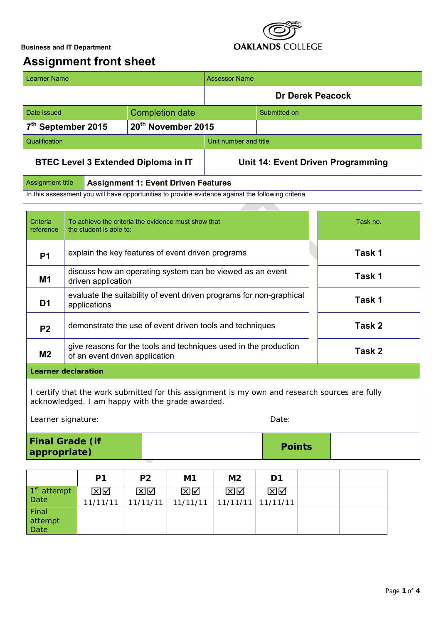

# **Assignment front sheet**

| <b>Learner Name</b>                                                                               |                                | <b>Assessor Name</b>              |                         |
|---------------------------------------------------------------------------------------------------|--------------------------------|-----------------------------------|-------------------------|
|                                                                                                   |                                |                                   | <b>Dr Derek Peacock</b> |
| Date issued                                                                                       | <b>Completion date</b>         |                                   | Submitted on            |
| 7 <sup>th</sup> September 2015                                                                    | 20 <sup>th</sup> November 2015 |                                   |                         |
| Qualification                                                                                     |                                | Unit number and title             |                         |
| <b>BTEC Level 3 Extended Diploma in IT</b>                                                        |                                | Unit 14: Event Driven Programming |                         |
| Assignment title<br><b>Assignment 1: Event Driven Features</b>                                    |                                |                                   |                         |
| In this assessment you will have appartunities to provide evidence against the following criteria |                                |                                   |                         |

In this assessment you will have opportunities to provide evidence against the following criteria.

| Criteria<br>reference      | To achieve the criteria the evidence must show that<br>the student is able to:                               |  | Task no. |  |
|----------------------------|--------------------------------------------------------------------------------------------------------------|--|----------|--|
| <b>P1</b>                  | explain the key features of event driven programs                                                            |  | Task 1   |  |
| M1                         | discuss how an operating system can be viewed as an event<br>Task 1<br>driven application                    |  |          |  |
| D <sub>1</sub>             | evaluate the suitability of event driven programs for non-graphical<br>applications                          |  | Task 1   |  |
| P <sub>2</sub>             | demonstrate the use of event driven tools and techniques                                                     |  | Task 2   |  |
| M <sub>2</sub>             | give reasons for the tools and techniques used in the production<br>Task 2<br>of an event driven application |  |          |  |
| <b>Learner declaration</b> |                                                                                                              |  |          |  |

I certify that the work submitted for this assignment is my own and research sources are fully acknowledged. I am happy with the grade awarded.

Learner signature: Date:

**Final Grade (if appropriate**) **appropriate** *Points* 

|               | P <sub>1</sub> | P <sub>2</sub> | M <sub>1</sub> | M <sub>2</sub> | D <sub>1</sub> |  |
|---------------|----------------|----------------|----------------|----------------|----------------|--|
| $1st$ attempt | ⊠⊠             | ⊠⊠             | ⊠⊠             | ⊠⊠             | ⊠⊠             |  |
| Date          | 11/11/11       | 11/11/11       | 11/11/11       | 11/11/11       | 11/11/11       |  |
| Final         |                |                |                |                |                |  |
| attempt       |                |                |                |                |                |  |
| Date          |                |                |                |                |                |  |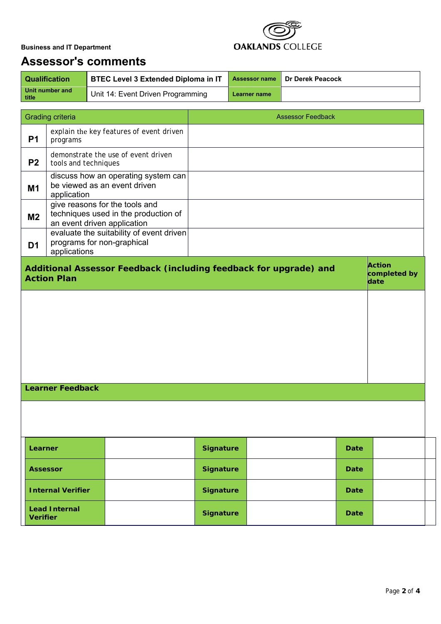

# **Assessor's comments**

| <b>Qualification</b>       | <b>BTEC Level 3 Extended Diploma in IT</b> |              | Assessor name   Dr Derek Peacock |
|----------------------------|--------------------------------------------|--------------|----------------------------------|
| Unit number and<br>  title | Unit 14: Event Driven Programming          | Learner name |                                  |

| <b>Grading criteria</b>                                                                                                 |                                                                                                                                  | <b>Assessor Feedback</b>            |                  |  |             |  |
|-------------------------------------------------------------------------------------------------------------------------|----------------------------------------------------------------------------------------------------------------------------------|-------------------------------------|------------------|--|-------------|--|
| <b>P1</b>                                                                                                               | explain the key features of event driven<br>programs                                                                             |                                     |                  |  |             |  |
| P <sub>2</sub>                                                                                                          | tools and techniques                                                                                                             | demonstrate the use of event driven |                  |  |             |  |
| discuss how an operating system can<br>be viewed as an event driven<br><b>M1</b><br>application                         |                                                                                                                                  |                                     |                  |  |             |  |
| give reasons for the tools and<br>techniques used in the production of<br>M <sub>2</sub><br>an event driven application |                                                                                                                                  |                                     |                  |  |             |  |
| D <sub>1</sub>                                                                                                          | evaluate the suitability of event driven<br>programs for non-graphical<br>applications                                           |                                     |                  |  |             |  |
|                                                                                                                         | <b>Action</b><br>Additional Assessor Feedback (including feedback for upgrade) and<br>completed by<br><b>Action Plan</b><br>date |                                     |                  |  |             |  |
|                                                                                                                         |                                                                                                                                  |                                     |                  |  |             |  |
|                                                                                                                         |                                                                                                                                  |                                     |                  |  |             |  |
|                                                                                                                         |                                                                                                                                  |                                     |                  |  |             |  |
|                                                                                                                         |                                                                                                                                  |                                     |                  |  |             |  |
| <b>Learner Feedback</b>                                                                                                 |                                                                                                                                  |                                     |                  |  |             |  |
|                                                                                                                         |                                                                                                                                  |                                     |                  |  |             |  |
|                                                                                                                         |                                                                                                                                  |                                     |                  |  |             |  |
| Learner                                                                                                                 |                                                                                                                                  |                                     | <b>Signature</b> |  | <b>Date</b> |  |
|                                                                                                                         | <b>Assessor</b>                                                                                                                  |                                     | <b>Signature</b> |  | <b>Date</b> |  |
|                                                                                                                         | <b>Internal Verifier</b>                                                                                                         |                                     | <b>Signature</b> |  | <b>Date</b> |  |
| <b>Verifier</b>                                                                                                         | <b>Lead Internal</b>                                                                                                             |                                     | <b>Signature</b> |  | <b>Date</b> |  |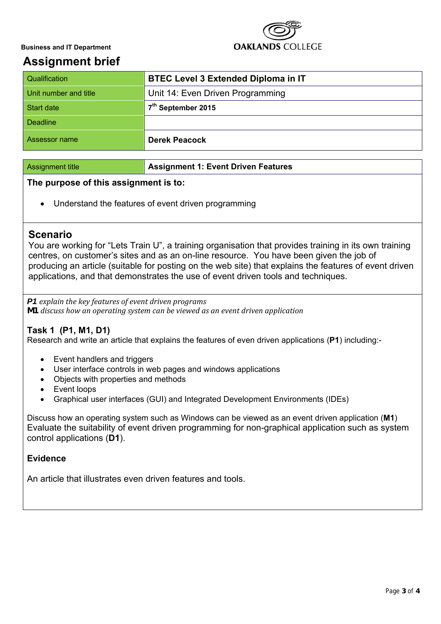

# **Assignment brief**

| Qualification         | <b>BTEC Level 3 Extended Diploma in IT</b> |
|-----------------------|--------------------------------------------|
| Unit number and title | Unit 14: Even Driven Programming           |
| Start date            | 7 <sup>th</sup> September 2015             |
| Deadline              |                                            |
| Assessor name         | <b>Derek Peacock</b>                       |

#### Assignment title **Assignment 1: Event Driven Features**

## **The purpose of this assignment is to:**

• Understand the features of event driven programming

# **Scenario**

You are working for "Lets Train U", a training organisation that provides training in its own training centres, on customer's sites and as an on-line resource. You have been given the job of producing an article (suitable for posting on the web site) that explains the features of event driven applications, and that demonstrates the use of event driven tools and techniques.

*P1 explain the key features of event driven programs M1 discuss how an operating system can be viewed as an event driven application*

## **Task 1 (P1, M1, D1)**

Research and write an article that explains the features of even driven applications (**P1**) including:-

- Event handlers and triggers
- User interface controls in web pages and windows applications
- Objects with properties and methods
- Event loops
- Graphical user interfaces (GUI) and Integrated Development Environments (IDEs)

Discuss how an operating system such as Windows can be viewed as an event driven application (**M1**) Evaluate the suitability of event driven programming for non-graphical application such as system control applications (**D1**).

## **Evidence**

An article that illustrates even driven features and tools.